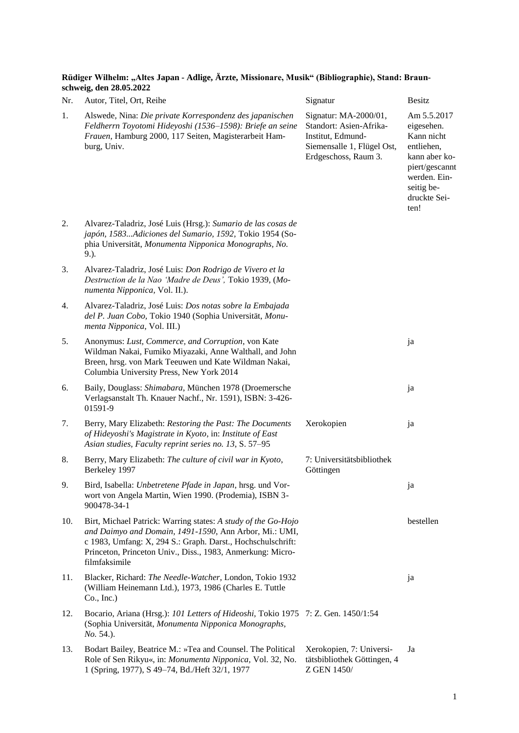**Rüdiger Wilhelm: "Altes Japan - Adlige, Ärzte, Missionare, Musik" (Bibliographie), Stand: Braunschweig, den 28.05.2022**

| Nr. | Autor, Titel, Ort, Reihe                                                                                                                                                                                                                                              | Signatur                                                                                                                    | <b>Besitz</b>                                                                                                                                  |
|-----|-----------------------------------------------------------------------------------------------------------------------------------------------------------------------------------------------------------------------------------------------------------------------|-----------------------------------------------------------------------------------------------------------------------------|------------------------------------------------------------------------------------------------------------------------------------------------|
| 1.  | Alswede, Nina: Die private Korrespondenz des japanischen<br>Feldherrn Toyotomi Hideyoshi (1536–1598): Briefe an seine<br>Frauen, Hamburg 2000, 117 Seiten, Magisterarbeit Ham-<br>burg, Univ.                                                                         | Signatur: MA-2000/01,<br>Standort: Asien-Afrika-<br>Institut, Edmund-<br>Siemensalle 1, Flügel Ost,<br>Erdgeschoss, Raum 3. | Am 5.5.2017<br>eigesehen.<br>Kann nicht<br>entliehen,<br>kann aber ko-<br>piert/gescannt<br>werden. Ein-<br>seitig be-<br>druckte Sei-<br>ten! |
| 2.  | Alvarez-Taladriz, José Luis (Hrsg.): Sumario de las cosas de<br>japón, 1583Adiciones del Sumario, 1592, Tokio 1954 (So-<br>phia Universität, Monumenta Nipponica Monographs, No.<br>$9.$ ).                                                                           |                                                                                                                             |                                                                                                                                                |
| 3.  | Alvarez-Taladriz, José Luis: Don Rodrigo de Vivero et la<br>Destruction de la Nao 'Madre de Deus', Tokio 1939, (Mo-<br>numenta Nipponica, Vol. II.).                                                                                                                  |                                                                                                                             |                                                                                                                                                |
| 4.  | Alvarez-Taladriz, José Luis: Dos notas sobre la Embajada<br>del P. Juan Cobo, Tokio 1940 (Sophia Universität, Monu-<br>menta Nipponica, Vol. III.)                                                                                                                    |                                                                                                                             |                                                                                                                                                |
| 5.  | Anonymus: Lust, Commerce, and Corruption, von Kate<br>Wildman Nakai, Fumiko Miyazaki, Anne Walthall, and John<br>Breen, hrsg. von Mark Teeuwen und Kate Wildman Nakai,<br>Columbia University Press, New York 2014                                                    |                                                                                                                             | ja                                                                                                                                             |
| 6.  | Baily, Douglass: Shimabara, München 1978 (Droemersche<br>Verlagsanstalt Th. Knauer Nachf., Nr. 1591), ISBN: 3-426-<br>01591-9                                                                                                                                         |                                                                                                                             | ja                                                                                                                                             |
| 7.  | Berry, Mary Elizabeth: Restoring the Past: The Documents<br>of Hideyoshi's Magistrate in Kyoto, in: Institute of East<br>Asian studies, Faculty reprint series no. 13, S. 57-95                                                                                       | Xerokopien                                                                                                                  | ja                                                                                                                                             |
| 8.  | Berry, Mary Elizabeth: The culture of civil war in Kyoto,<br>Berkeley 1997                                                                                                                                                                                            | 7: Universitätsbibliothek<br>Göttingen                                                                                      |                                                                                                                                                |
| 9.  | Bird, Isabella: Unbetretene Pfade in Japan, hrsg. und Vor-<br>wort von Angela Martin, Wien 1990. (Prodemia), ISBN 3-<br>900478-34-1                                                                                                                                   |                                                                                                                             | ja                                                                                                                                             |
| 10. | Birt, Michael Patrick: Warring states: A study of the Go-Hojo<br>and Daimyo and Domain, 1491-1590, Ann Arbor, Mi.: UMI,<br>c 1983, Umfang: X, 294 S.: Graph. Darst., Hochschulschrift:<br>Princeton, Princeton Univ., Diss., 1983, Anmerkung: Micro-<br>filmfaksimile |                                                                                                                             | bestellen                                                                                                                                      |
| 11. | Blacker, Richard: The Needle-Watcher, London, Tokio 1932<br>(William Heinemann Ltd.), 1973, 1986 (Charles E. Tuttle<br>Co., Inc.)                                                                                                                                     |                                                                                                                             | ja                                                                                                                                             |
| 12. | Bocario, Ariana (Hrsg.): 101 Letters of Hideoshi, Tokio 1975 7: Z. Gen. 1450/1:54<br>(Sophia Universität, Monumenta Nipponica Monographs,<br>No. 54.).                                                                                                                |                                                                                                                             |                                                                                                                                                |
| 13. | Bodart Bailey, Beatrice M.: »Tea and Counsel. The Political<br>Role of Sen Rikyu«, in: Monumenta Nipponica, Vol. 32, No.<br>1 (Spring, 1977), S 49-74, Bd./Heft 32/1, 1977                                                                                            | Xerokopien, 7: Universi-<br>tätsbibliothek Göttingen, 4<br>Z GEN 1450/                                                      | Ja                                                                                                                                             |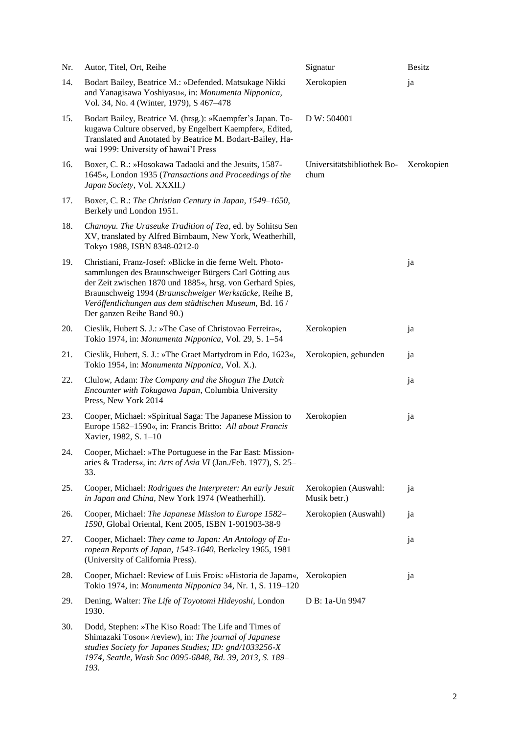| Nr. | Autor, Titel, Ort, Reihe                                                                                                                                                                                                                                                                                                              | Signatur                             | <b>Besitz</b> |
|-----|---------------------------------------------------------------------------------------------------------------------------------------------------------------------------------------------------------------------------------------------------------------------------------------------------------------------------------------|--------------------------------------|---------------|
| 14. | Bodart Bailey, Beatrice M.: »Defended. Matsukage Nikki<br>and Yanagisawa Yoshiyasu«, in: Monumenta Nipponica,<br>Vol. 34, No. 4 (Winter, 1979), S 467-478                                                                                                                                                                             | Xerokopien                           | ja            |
| 15. | Bodart Bailey, Beatrice M. (hrsg.): »Kaempfer's Japan. To-<br>kugawa Culture observed, by Engelbert Kaempfer«, Edited,<br>Translated and Anotated by Beatrice M. Bodart-Bailey, Ha-<br>wai 1999: University of hawai'I Press                                                                                                          | D W: 504001                          |               |
| 16. | Boxer, C. R.: »Hosokawa Tadaoki and the Jesuits, 1587-<br>1645«, London 1935 (Transactions and Proceedings of the<br>Japan Society, Vol. XXXII.)                                                                                                                                                                                      | Universitätsbibliothek Bo-<br>chum   | Xerokopien    |
| 17. | Boxer, C. R.: The Christian Century in Japan, 1549–1650,<br>Berkely und London 1951.                                                                                                                                                                                                                                                  |                                      |               |
| 18. | Chanoyu. The Uraseuke Tradition of Tea, ed. by Sohitsu Sen<br>XV, translated by Alfred Birnbaum, New York, Weatherhill,<br>Tokyo 1988, ISBN 8348-0212-0                                                                                                                                                                               |                                      |               |
| 19. | Christiani, Franz-Josef: »Blicke in die ferne Welt. Photo-<br>sammlungen des Braunschweiger Bürgers Carl Götting aus<br>der Zeit zwischen 1870 und 1885«, hrsg. von Gerhard Spies,<br>Braunschweig 1994 (Braunschweiger Werkstücke, Reihe B,<br>Veröffentlichungen aus dem städtischen Museum, Bd. 16 /<br>Der ganzen Reihe Band 90.) |                                      | ja            |
| 20. | Cieslik, Hubert S. J.: »The Case of Christovao Ferreira«,<br>Tokio 1974, in: Monumenta Nipponica, Vol. 29, S. 1-54                                                                                                                                                                                                                    | Xerokopien                           | ja            |
| 21. | Cieslik, Hubert, S. J.: »The Graet Martydrom in Edo, 1623«,<br>Tokio 1954, in: Monumenta Nipponica, Vol. X.).                                                                                                                                                                                                                         | Xerokopien, gebunden                 | ja            |
| 22. | Clulow, Adam: The Company and the Shogun The Dutch<br>Encounter with Tokugawa Japan, Columbia University<br>Press, New York 2014                                                                                                                                                                                                      |                                      | ja            |
| 23. | Cooper, Michael: »Spiritual Saga: The Japanese Mission to<br>Europe 1582-1590«, in: Francis Britto: All about Francis<br>Xavier, 1982, S. 1-10                                                                                                                                                                                        | Xerokopien                           | ja            |
| 24. | Cooper, Michael: »The Portuguese in the Far East: Mission-<br>aries & Traders«, in: Arts of Asia VI (Jan./Feb. 1977), S. 25-<br>33.                                                                                                                                                                                                   |                                      |               |
| 25. | Cooper, Michael: Rodrigues the Interpreter: An early Jesuit<br>in Japan and China, New York 1974 (Weatherhill).                                                                                                                                                                                                                       | Xerokopien (Auswahl:<br>Musik betr.) | ja            |
| 26. | Cooper, Michael: The Japanese Mission to Europe 1582-<br>1590, Global Oriental, Kent 2005, ISBN 1-901903-38-9                                                                                                                                                                                                                         | Xerokopien (Auswahl)                 | ja            |
| 27. | Cooper, Michael: They came to Japan: An Antology of Eu-<br>ropean Reports of Japan, 1543-1640, Berkeley 1965, 1981<br>(University of California Press).                                                                                                                                                                               |                                      | ja            |
| 28. | Cooper, Michael: Review of Luis Frois: »Historia de Japam«,<br>Tokio 1974, in: Monumenta Nipponica 34, Nr. 1, S. 119-120                                                                                                                                                                                                              | Xerokopien                           | ja            |
| 29. | Dening, Walter: The Life of Toyotomi Hideyoshi, London<br>1930.                                                                                                                                                                                                                                                                       | D B: 1a-Un 9947                      |               |
| 30. | Dodd, Stephen: »The Kiso Road: The Life and Times of<br>Shimazaki Toson« /review), in: The journal of Japanese<br>studies Society for Japanes Studies; ID: gnd/1033256-X<br>1974, Seattle, Wash Soc 0095-6848, Bd. 39, 2013, S. 189-<br>193.                                                                                          |                                      |               |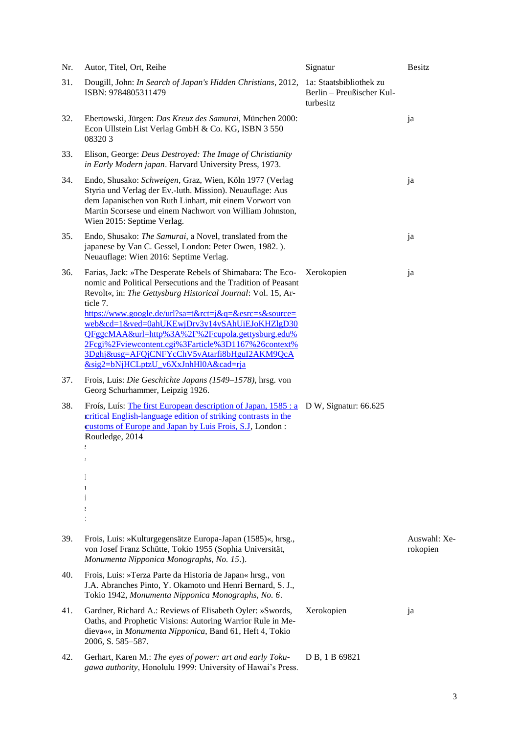| Nr. | Autor, Titel, Ort, Reihe                                                                                                                                                                                                                                                                                                                                                                                                                                                                                                         | Signatur                                                          | <b>Besitz</b>            |
|-----|----------------------------------------------------------------------------------------------------------------------------------------------------------------------------------------------------------------------------------------------------------------------------------------------------------------------------------------------------------------------------------------------------------------------------------------------------------------------------------------------------------------------------------|-------------------------------------------------------------------|--------------------------|
| 31. | Dougill, John: In Search of Japan's Hidden Christians, 2012,<br>ISBN: 9784805311479                                                                                                                                                                                                                                                                                                                                                                                                                                              | 1a: Staatsbibliothek zu<br>Berlin - Preußischer Kul-<br>turbesitz |                          |
| 32. | Ebertowski, Jürgen: Das Kreuz des Samurai, München 2000:<br>Econ Ullstein List Verlag GmbH & Co. KG, ISBN 3 550<br>083203                                                                                                                                                                                                                                                                                                                                                                                                        |                                                                   | ja                       |
| 33. | Elison, George: Deus Destroyed: The Image of Christianity<br>in Early Modern japan. Harvard University Press, 1973.                                                                                                                                                                                                                                                                                                                                                                                                              |                                                                   |                          |
| 34. | Endo, Shusako: Schweigen, Graz, Wien, Köln 1977 (Verlag<br>Styria und Verlag der Ev.-luth. Mission). Neuauflage: Aus<br>dem Japanischen von Ruth Linhart, mit einem Vorwort von<br>Martin Scorsese und einem Nachwort von William Johnston,<br>Wien 2015: Septime Verlag.                                                                                                                                                                                                                                                        |                                                                   | ja                       |
| 35. | Endo, Shusako: The Samurai, a Novel, translated from the<br>japanese by Van C. Gessel, London: Peter Owen, 1982.).<br>Neuauflage: Wien 2016: Septime Verlag.                                                                                                                                                                                                                                                                                                                                                                     |                                                                   | ja                       |
| 36. | Farias, Jack: »The Desperate Rebels of Shimabara: The Eco- Xerokopien<br>nomic and Political Persecutions and the Tradition of Peasant<br>Revolt«, in: The Gettysburg Historical Journal: Vol. 15, Ar-<br>ticle 7.<br>https://www.google.de/url?sa=t&rct=j&q=&esrc=s&source=<br>web&cd=1&ved=0ahUKEwjDrv3y14vSAhUiEJoKHZlgD30<br>OFggcMAA&url=http%3A%2F%2Fcupola.gettysburg.edu%<br>2Fcgi%2Fviewcontent.cgi%3Farticle%3D1167%26context%<br>3Dghj&usg=AFQjCNFYcChV5vAtarfi8bHguI2AKM9QcA<br>&sig2=bNjHCLptzU v6XxJnhHl0A&cad=rja |                                                                   | ja                       |
| 37. | Frois, Luis: Die Geschichte Japans (1549–1578), hrsg. von<br>Georg Schurhammer, Leipzig 1926.                                                                                                                                                                                                                                                                                                                                                                                                                                    |                                                                   |                          |
| 38. | Froís, Luís: The first European description of Japan, 1585 : a D W, Signatur: 66.625<br>critical English-language edition of striking contrasts in the<br>customs of Europe and Japan by Luis Frois, S.J., London:<br>Routledge, 2014<br>t<br>$\cdot$<br>$\mathbf{1}$                                                                                                                                                                                                                                                            |                                                                   |                          |
| 39. | Frois, Luis: »Kulturgegensätze Europa-Japan (1585)«, hrsg.,<br>von Josef Franz Schütte, Tokio 1955 (Sophia Universität,<br>Monumenta Nipponica Monographs, No. 15.).                                                                                                                                                                                                                                                                                                                                                             |                                                                   | Auswahl: Xe-<br>rokopien |
| 40. | Frois, Luis: »Terza Parte da Historia de Japan« hrsg., von<br>J.A. Abranches Pinto, Y. Okamoto und Henri Bernard, S. J.,<br>Tokio 1942, Monumenta Nipponica Monographs, No. 6.                                                                                                                                                                                                                                                                                                                                                   |                                                                   |                          |
| 41. | Gardner, Richard A.: Reviews of Elisabeth Oyler: »Swords,<br>Oaths, and Prophetic Visions: Autoring Warrior Rule in Me-<br>dieva««, in Monumenta Nipponica, Band 61, Heft 4, Tokio<br>2006, S. 585-587.                                                                                                                                                                                                                                                                                                                          | Xerokopien                                                        | ja                       |
| 42. | Gerhart, Karen M.: The eyes of power: art and early Toku-<br>gawa authority, Honolulu 1999: University of Hawai's Press.                                                                                                                                                                                                                                                                                                                                                                                                         | D B, 1 B 69821                                                    |                          |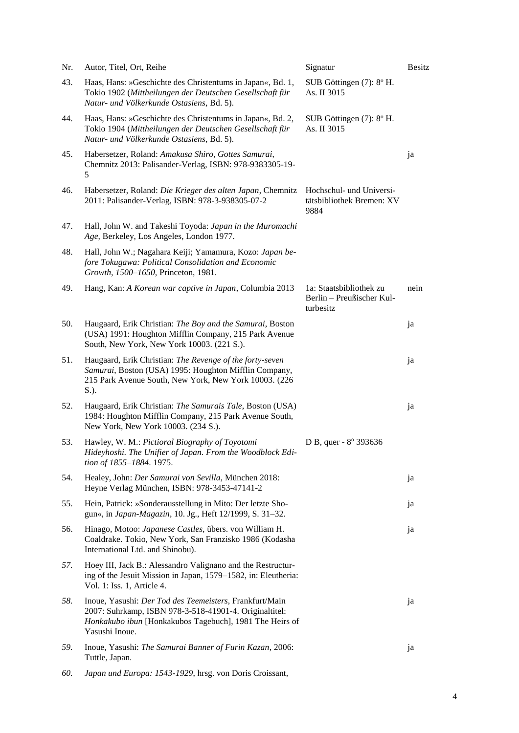| Nr. | Autor, Titel, Ort, Reihe                                                                                                                                                                       | Signatur                                                          | <b>Besitz</b> |
|-----|------------------------------------------------------------------------------------------------------------------------------------------------------------------------------------------------|-------------------------------------------------------------------|---------------|
| 43. | Haas, Hans: »Geschichte des Christentums in Japan«, Bd. 1,<br>Tokio 1902 (Mittheilungen der Deutschen Gesellschaft für<br>Natur- und Völkerkunde Ostasiens, Bd. 5).                            | SUB Göttingen (7): 8° H.<br>As. II 3015                           |               |
| 44. | Haas, Hans: »Geschichte des Christentums in Japan«, Bd. 2,<br>Tokio 1904 (Mittheilungen der Deutschen Gesellschaft für<br>Natur- und Völkerkunde Ostasiens, Bd. 5).                            | SUB Göttingen (7): 8° H.<br>As. II 3015                           |               |
| 45. | Habersetzer, Roland: Amakusa Shiro, Gottes Samurai,<br>Chemnitz 2013: Palisander-Verlag, ISBN: 978-9383305-19-<br>5.                                                                           |                                                                   | ja            |
| 46. | Habersetzer, Roland: Die Krieger des alten Japan, Chemnitz<br>2011: Palisander-Verlag, ISBN: 978-3-938305-07-2                                                                                 | Hochschul- und Universi-<br>tätsbibliothek Bremen: XV<br>9884     |               |
| 47. | Hall, John W. and Takeshi Toyoda: Japan in the Muromachi<br>Age, Berkeley, Los Angeles, London 1977.                                                                                           |                                                                   |               |
| 48. | Hall, John W.; Nagahara Keiji; Yamamura, Kozo: Japan be-<br>fore Tokugawa: Political Consolidation and Economic<br>Growth, 1500-1650, Princeton, 1981.                                         |                                                                   |               |
| 49. | Hang, Kan: A Korean war captive in Japan, Columbia 2013                                                                                                                                        | 1a: Staatsbibliothek zu<br>Berlin - Preußischer Kul-<br>turbesitz | nein          |
| 50. | Haugaard, Erik Christian: The Boy and the Samurai, Boston<br>(USA) 1991: Houghton Mifflin Company, 215 Park Avenue<br>South, New York, New York 10003. (221 S.).                               |                                                                   | ja            |
| 51. | Haugaard, Erik Christian: The Revenge of the forty-seven<br>Samurai, Boston (USA) 1995: Houghton Mifflin Company,<br>215 Park Avenue South, New York, New York 10003. (226<br>S.).             |                                                                   | ja            |
| 52. | Haugaard, Erik Christian: The Samurais Tale, Boston (USA)<br>1984: Houghton Mifflin Company, 215 Park Avenue South,<br>New York, New York 10003. (234 S.).                                     |                                                                   | ja            |
| 53. | Hawley, W. M.: Pictioral Biography of Toyotomi<br>Hideyhoshi. The Unifier of Japan. From the Woodblock Edi-<br>tion of 1855-1884. 1975.                                                        | D B, quer - 8° 393636                                             |               |
| 54. | Healey, John: Der Samurai von Sevilla, München 2018:<br>Heyne Verlag München, ISBN: 978-3453-47141-2                                                                                           |                                                                   | ja            |
| 55. | Hein, Patrick: »Sonderausstellung in Mito: Der letzte Sho-<br>gun«, in Japan-Magazin, 10. Jg., Heft 12/1999, S. 31-32.                                                                         |                                                                   | ja            |
| 56. | Hinago, Motoo: Japanese Castles, übers. von William H.<br>Coaldrake. Tokio, New York, San Franzisko 1986 (Kodasha<br>International Ltd. and Shinobu).                                          |                                                                   | ja            |
| 57. | Hoey III, Jack B.: Alessandro Valignano and the Restructur-<br>ing of the Jesuit Mission in Japan, 1579–1582, in: Eleutheria:<br>Vol. 1: Iss. 1, Article 4.                                    |                                                                   |               |
| 58. | Inoue, Yasushi: Der Tod des Teemeisters, Frankfurt/Main<br>2007: Suhrkamp, ISBN 978-3-518-41901-4. Originaltitel:<br>Honkakubo ibun [Honkakubos Tagebuch], 1981 The Heirs of<br>Yasushi Inoue. |                                                                   | ja            |
| 59. | Inoue, Yasushi: The Samurai Banner of Furin Kazan, 2006:<br>Tuttle, Japan.                                                                                                                     |                                                                   | ja            |
| 60. | Japan und Europa: 1543-1929, hrsg. von Doris Croissant,                                                                                                                                        |                                                                   |               |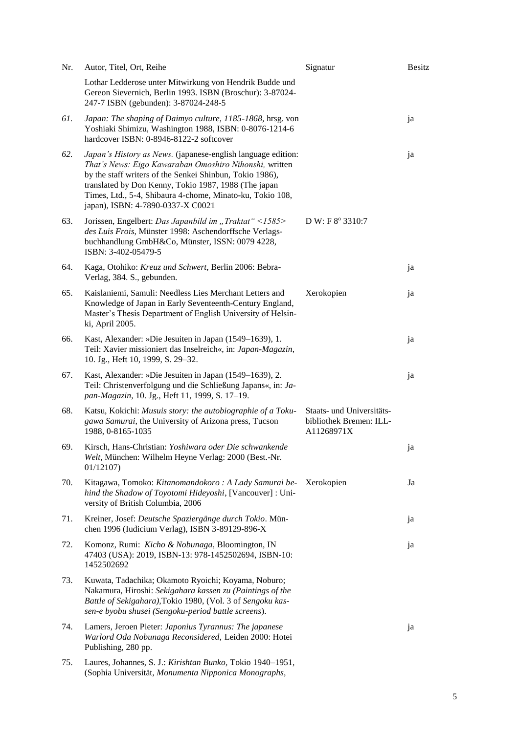| Nr. | Autor, Titel, Ort, Reihe                                                                                                                                                                                                                                                                                                                     | Signatur                                                           | <b>Besitz</b> |
|-----|----------------------------------------------------------------------------------------------------------------------------------------------------------------------------------------------------------------------------------------------------------------------------------------------------------------------------------------------|--------------------------------------------------------------------|---------------|
|     | Lothar Ledderose unter Mitwirkung von Hendrik Budde und<br>Gereon Sievernich, Berlin 1993. ISBN (Broschur): 3-87024-<br>247-7 ISBN (gebunden): 3-87024-248-5                                                                                                                                                                                 |                                                                    |               |
| 61. | Japan: The shaping of Daimyo culture, 1185-1868, hrsg. von<br>Yoshiaki Shimizu, Washington 1988, ISBN: 0-8076-1214-6<br>hardcover ISBN: 0-8946-8122-2 softcover                                                                                                                                                                              |                                                                    | ja            |
| 62. | Japan's History as News. (japanese-english language edition:<br>That's News: Eigo Kawaraban Omoshiro Nihonshi, written<br>by the staff writers of the Senkei Shinbun, Tokio 1986),<br>translated by Don Kenny, Tokio 1987, 1988 (The japan<br>Times, Ltd., 5-4, Shibaura 4-chome, Minato-ku, Tokio 108,<br>japan), ISBN: 4-7890-0337-X C0021 |                                                                    | ja            |
| 63. | Jorissen, Engelbert: Das Japanbild im "Traktat" <1585><br>des Luis Frois, Münster 1998: Aschendorffsche Verlags-<br>buchhandlung GmbH&Co, Münster, ISSN: 0079 4228,<br>ISBN: 3-402-05479-5                                                                                                                                                   | D W: F 8° 3310:7                                                   |               |
| 64. | Kaga, Otohiko: Kreuz und Schwert, Berlin 2006: Bebra-<br>Verlag, 384. S., gebunden.                                                                                                                                                                                                                                                          |                                                                    | ja            |
| 65. | Kaislaniemi, Samuli: Needless Lies Merchant Letters and<br>Knowledge of Japan in Early Seventeenth-Century England,<br>Master's Thesis Department of English University of Helsin-<br>ki, April 2005.                                                                                                                                        | Xerokopien                                                         | ja            |
| 66. | Kast, Alexander: »Die Jesuiten in Japan (1549–1639), 1.<br>Teil: Xavier missioniert das Inselreich«, in: Japan-Magazin,<br>10. Jg., Heft 10, 1999, S. 29-32.                                                                                                                                                                                 |                                                                    | ja            |
| 67. | Kast, Alexander: »Die Jesuiten in Japan (1549–1639), 2.<br>Teil: Christenverfolgung und die Schließung Japans«, in: Ja-<br>pan-Magazin, 10. Jg., Heft 11, 1999, S. 17-19.                                                                                                                                                                    |                                                                    | ja            |
| 68. | Katsu, Kokichi: Musuis story: the autobiographie of a Toku-<br>gawa Samurai, the University of Arizona press, Tucson<br>1988, 0-8165-1035                                                                                                                                                                                                    | Staats- und Universitäts-<br>bibliothek Bremen: ILL-<br>A11268971X |               |
| 69. | Kirsch, Hans-Christian: Yoshiwara oder Die schwankende<br>Welt, München: Wilhelm Heyne Verlag: 2000 (Best.-Nr.<br>01/12107                                                                                                                                                                                                                   |                                                                    | ja            |
| 70. | Kitagawa, Tomoko: Kitanomandokoro : A Lady Samurai be-<br>hind the Shadow of Toyotomi Hideyoshi, [Vancouver] : Uni-<br>versity of British Columbia, 2006                                                                                                                                                                                     | Xerokopien                                                         | Ja            |
| 71. | Kreiner, Josef: Deutsche Spaziergänge durch Tokio. Mün-<br>chen 1996 (Iudicium Verlag), ISBN 3-89129-896-X                                                                                                                                                                                                                                   |                                                                    | ja            |
| 72. | Komonz, Rumi: Kicho & Nobunaga, Bloomington, IN<br>47403 (USA): 2019, ISBN-13: 978-1452502694, ISBN-10:<br>1452502692                                                                                                                                                                                                                        |                                                                    | ja            |
| 73. | Kuwata, Tadachika; Okamoto Ryoichi; Koyama, Noburo;<br>Nakamura, Hiroshi: Sekigahara kassen zu (Paintings of the<br>Battle of Sekigahara), Tokio 1980, (Vol. 3 of Sengoku kas-<br>sen-e byobu shusei (Sengoku-period battle screens).                                                                                                        |                                                                    |               |
| 74. | Lamers, Jeroen Pieter: Japonius Tyrannus: The japanese<br>Warlord Oda Nobunaga Reconsidered, Leiden 2000: Hotei<br>Publishing, 280 pp.                                                                                                                                                                                                       |                                                                    | ja            |
| 75. | Laures, Johannes, S. J.: Kirishtan Bunko, Tokio 1940-1951,<br>(Sophia Universität, Monumenta Nipponica Monographs,                                                                                                                                                                                                                           |                                                                    |               |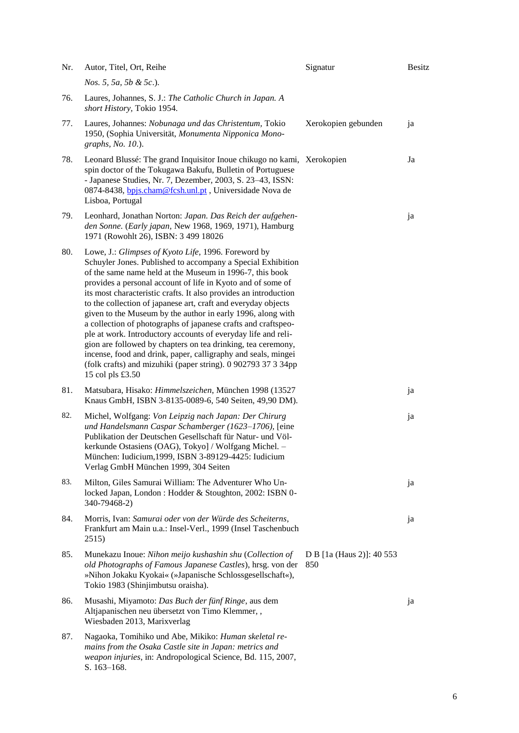| Nr. | Autor, Titel, Ort, Reihe                                                                                                                                                                                                                                                                                                                                                                                                                                                                                                                                                                                                                                                                                                                                                                                  | Signatur                         | <b>Besitz</b> |
|-----|-----------------------------------------------------------------------------------------------------------------------------------------------------------------------------------------------------------------------------------------------------------------------------------------------------------------------------------------------------------------------------------------------------------------------------------------------------------------------------------------------------------------------------------------------------------------------------------------------------------------------------------------------------------------------------------------------------------------------------------------------------------------------------------------------------------|----------------------------------|---------------|
|     | <i>Nos.</i> 5, 5 <i>a</i> , 5 <i>b</i> & 5 <i>c</i> .).                                                                                                                                                                                                                                                                                                                                                                                                                                                                                                                                                                                                                                                                                                                                                   |                                  |               |
| 76. | Laures, Johannes, S. J.: The Catholic Church in Japan. A<br>short History, Tokio 1954.                                                                                                                                                                                                                                                                                                                                                                                                                                                                                                                                                                                                                                                                                                                    |                                  |               |
| 77. | Laures, Johannes: Nobunaga und das Christentum, Tokio<br>1950, (Sophia Universität, Monumenta Nipponica Mono-<br>graphs, No. 10.).                                                                                                                                                                                                                                                                                                                                                                                                                                                                                                                                                                                                                                                                        | Xerokopien gebunden              | ja            |
| 78. | Leonard Blussé: The grand Inquisitor Inoue chikugo no kami, Xerokopien<br>spin doctor of the Tokugawa Bakufu, Bulletin of Portuguese<br>- Japanese Studies, Nr. 7, Dezember, 2003, S. 23-43, ISSN:<br>0874-8438, bpjs.cham@fcsh.unl.pt, Universidade Nova de<br>Lisboa, Portugal                                                                                                                                                                                                                                                                                                                                                                                                                                                                                                                          |                                  | Ja            |
| 79. | Leonhard, Jonathan Norton: Japan. Das Reich der aufgehen-<br>den Sonne. (Early japan, New 1968, 1969, 1971), Hamburg<br>1971 (Rowohlt 26), ISBN: 3 499 18026                                                                                                                                                                                                                                                                                                                                                                                                                                                                                                                                                                                                                                              |                                  | ja            |
| 80. | Lowe, J.: Glimpses of Kyoto Life, 1996. Foreword by<br>Schuyler Jones. Published to accompany a Special Exhibition<br>of the same name held at the Museum in 1996-7, this book<br>provides a personal account of life in Kyoto and of some of<br>its most characteristic crafts. It also provides an introduction<br>to the collection of japanese art, craft and everyday objects<br>given to the Museum by the author in early 1996, along with<br>a collection of photographs of japanese crafts and craftspeo-<br>ple at work. Introductory accounts of everyday life and reli-<br>gion are followed by chapters on tea drinking, tea ceremony,<br>incense, food and drink, paper, calligraphy and seals, mingei<br>(folk crafts) and mizuhiki (paper string). 0 902793 37 3 34pp<br>15 col pls £3.50 |                                  |               |
| 81. | Matsubara, Hisako: Himmelszeichen, München 1998 (13527<br>Knaus GmbH, ISBN 3-8135-0089-6, 540 Seiten, 49,90 DM).                                                                                                                                                                                                                                                                                                                                                                                                                                                                                                                                                                                                                                                                                          |                                  | ja            |
| 82. | Michel, Wolfgang: Von Leipzig nach Japan: Der Chirurg<br>und Handelsmann Caspar Schamberger (1623-1706), [eine<br>Publikation der Deutschen Gesellschaft für Natur- und Völ-<br>kerkunde Ostasiens (OAG), Tokyo] / Wolfgang Michel. -<br>München: Iudicium, 1999, ISBN 3-89129-4425: Iudicium<br>Verlag GmbH München 1999, 304 Seiten                                                                                                                                                                                                                                                                                                                                                                                                                                                                     |                                  | ja            |
| 83. | Milton, Giles Samurai William: The Adventurer Who Un-<br>locked Japan, London : Hodder & Stoughton, 2002: ISBN 0-<br>340-79468-2)                                                                                                                                                                                                                                                                                                                                                                                                                                                                                                                                                                                                                                                                         |                                  | ja            |
| 84. | Morris, Ivan: Samurai oder von der Würde des Scheiterns,<br>Frankfurt am Main u.a.: Insel-Verl., 1999 (Insel Taschenbuch<br>2515)                                                                                                                                                                                                                                                                                                                                                                                                                                                                                                                                                                                                                                                                         |                                  | ja            |
| 85. | Munekazu Inoue: Nihon meijo kushashin shu (Collection of<br>old Photographs of Famous Japanese Castles), hrsg. von der<br>»Nihon Jokaku Kyokai« (»Japanische Schlossgesellschaft«),<br>Tokio 1983 (Shinjimbutsu oraisha).                                                                                                                                                                                                                                                                                                                                                                                                                                                                                                                                                                                 | D B [1a (Haus 2)]: 40 553<br>850 |               |
| 86. | Musashi, Miyamoto: Das Buch der fünf Ringe, aus dem<br>Altjapanischen neu übersetzt von Timo Klemmer,,<br>Wiesbaden 2013, Marixverlag                                                                                                                                                                                                                                                                                                                                                                                                                                                                                                                                                                                                                                                                     |                                  | ja            |
| 87. | Nagaoka, Tomihiko und Abe, Mikiko: Human skeletal re-<br>mains from the Osaka Castle site in Japan: metrics and<br>weapon injuries, in: Andropological Science, Bd. 115, 2007,<br>S. 163-168.                                                                                                                                                                                                                                                                                                                                                                                                                                                                                                                                                                                                             |                                  |               |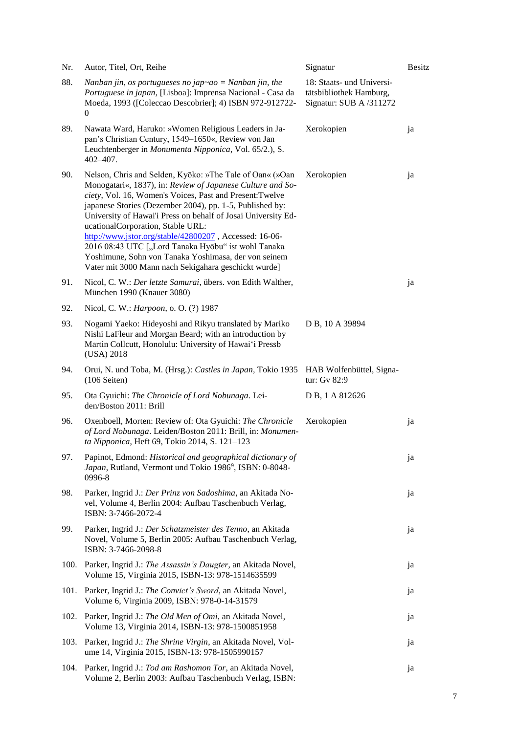| Nr.  | Autor, Titel, Ort, Reihe                                                                                                                                                                                                                                                                                                                                                                                                                                                                                                                                                              | Signatur                                                                        | <b>Besitz</b> |
|------|---------------------------------------------------------------------------------------------------------------------------------------------------------------------------------------------------------------------------------------------------------------------------------------------------------------------------------------------------------------------------------------------------------------------------------------------------------------------------------------------------------------------------------------------------------------------------------------|---------------------------------------------------------------------------------|---------------|
| 88.  | Nanban jin, os portugueses no jap~ao = Nanban jin, the<br>Portuguese in japan, [Lisboa]: Imprensa Nacional - Casa da<br>Moeda, 1993 ([Coleccao Descobrier]; 4) ISBN 972-912722-<br>0                                                                                                                                                                                                                                                                                                                                                                                                  | 18: Staats- und Universi-<br>tätsbibliothek Hamburg,<br>Signatur: SUB A /311272 |               |
| 89.  | Nawata Ward, Haruko: »Women Religious Leaders in Ja-<br>pan's Christian Century, 1549-1650«, Review von Jan<br>Leuchtenberger in Monumenta Nipponica, Vol. 65/2.), S.<br>$402 - 407$ .                                                                                                                                                                                                                                                                                                                                                                                                | Xerokopien                                                                      | ja            |
| 90.  | Nelson, Chris and Selden, Kyōko: »The Tale of Oan« (»Oan<br>Monogatari«, 1837), in: Review of Japanese Culture and So-<br>ciety, Vol. 16, Women's Voices, Past and Present: Twelve<br>japanese Stories (Dezember 2004), pp. 1-5, Published by:<br>University of Hawai'i Press on behalf of Josai University Ed-<br>ucationalCorporation, Stable URL:<br>http://www.jstor.org/stable/42800207, Accessed: 16-06-<br>2016 08:43 UTC ["Lord Tanaka Hyōbu" ist wohl Tanaka<br>Yoshimune, Sohn von Tanaka Yoshimasa, der von seinem<br>Vater mit 3000 Mann nach Sekigahara geschickt wurde] | Xerokopien                                                                      | ja            |
| 91.  | Nicol, C. W.: Der letzte Samurai, übers. von Edith Walther,<br>München 1990 (Knauer 3080)                                                                                                                                                                                                                                                                                                                                                                                                                                                                                             |                                                                                 | ja            |
| 92.  | Nicol, C. W.: <i>Harpoon</i> , o. O. (?) 1987                                                                                                                                                                                                                                                                                                                                                                                                                                                                                                                                         |                                                                                 |               |
| 93.  | Nogami Yaeko: Hideyoshi and Rikyu translated by Mariko<br>Nishi LaFleur and Morgan Beard; with an introduction by<br>Martin Collcutt, Honolulu: University of Hawai'i Pressb<br>(USA) 2018                                                                                                                                                                                                                                                                                                                                                                                            | D B, 10 A 39894                                                                 |               |
| 94.  | Orui, N. und Toba, M. (Hrsg.): Castles in Japan, Tokio 1935<br>$(106$ Seiten)                                                                                                                                                                                                                                                                                                                                                                                                                                                                                                         | HAB Wolfenbüttel, Signa-<br>tur: Gv 82:9                                        |               |
| 95.  | Ota Gyuichi: The Chronicle of Lord Nobunaga. Lei-<br>den/Boston 2011: Brill                                                                                                                                                                                                                                                                                                                                                                                                                                                                                                           | D B, 1 A 812626                                                                 |               |
| 96.  | Oxenboell, Morten: Review of: Ota Gyuichi: The Chronicle<br>of Lord Nobunaga. Leiden/Boston 2011: Brill, in: Monumen-<br>ta Nipponica, Heft 69, Tokio 2014, S. 121-123                                                                                                                                                                                                                                                                                                                                                                                                                | Xerokopien                                                                      | ja            |
| 97.  | Papinot, Edmond: Historical and geographical dictionary of<br>Japan, Rutland, Vermont und Tokio 1986 <sup>9</sup> , ISBN: 0-8048-<br>0996-8                                                                                                                                                                                                                                                                                                                                                                                                                                           |                                                                                 | ja            |
| 98.  | Parker, Ingrid J.: Der Prinz von Sadoshima, an Akitada No-<br>vel, Volume 4, Berlin 2004: Aufbau Taschenbuch Verlag,<br>ISBN: 3-7466-2072-4                                                                                                                                                                                                                                                                                                                                                                                                                                           |                                                                                 | ja            |
| 99.  | Parker, Ingrid J.: Der Schatzmeister des Tenno, an Akitada<br>Novel, Volume 5, Berlin 2005: Aufbau Taschenbuch Verlag,<br>ISBN: 3-7466-2098-8                                                                                                                                                                                                                                                                                                                                                                                                                                         |                                                                                 | ja            |
| 100. | Parker, Ingrid J.: The Assassin's Daugter, an Akitada Novel,<br>Volume 15, Virginia 2015, ISBN-13: 978-1514635599                                                                                                                                                                                                                                                                                                                                                                                                                                                                     |                                                                                 | ja            |
| 101. | Parker, Ingrid J.: The Convict's Sword, an Akitada Novel,<br>Volume 6, Virginia 2009, ISBN: 978-0-14-31579                                                                                                                                                                                                                                                                                                                                                                                                                                                                            |                                                                                 | ja            |
| 102. | Parker, Ingrid J.: The Old Men of Omi, an Akitada Novel,<br>Volume 13, Virginia 2014, ISBN-13: 978-1500851958                                                                                                                                                                                                                                                                                                                                                                                                                                                                         |                                                                                 | ja            |
| 103. | Parker, Ingrid J.: The Shrine Virgin, an Akitada Novel, Vol-<br>ume 14, Virginia 2015, ISBN-13: 978-1505990157                                                                                                                                                                                                                                                                                                                                                                                                                                                                        |                                                                                 | ja            |
| 104. | Parker, Ingrid J.: Tod am Rashomon Tor, an Akitada Novel,<br>Volume 2, Berlin 2003: Aufbau Taschenbuch Verlag, ISBN:                                                                                                                                                                                                                                                                                                                                                                                                                                                                  |                                                                                 | ja            |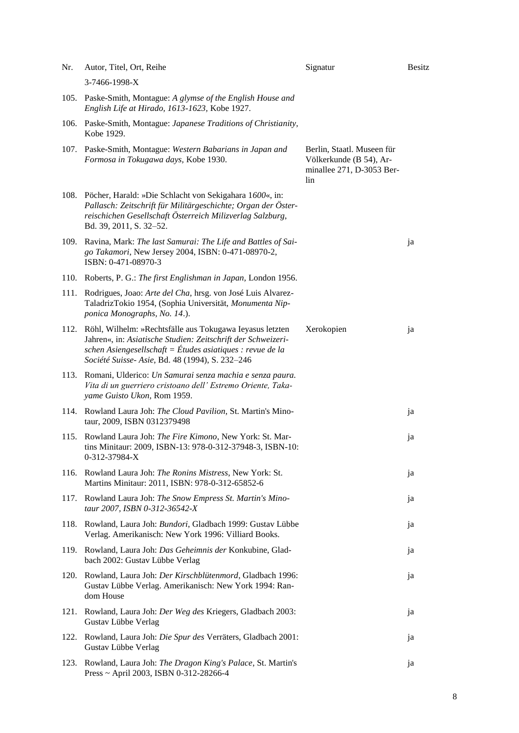| Nr.  | Autor, Titel, Ort, Reihe                                                                                                                                                                                                                 | Signatur                                                                                  | <b>Besitz</b> |
|------|------------------------------------------------------------------------------------------------------------------------------------------------------------------------------------------------------------------------------------------|-------------------------------------------------------------------------------------------|---------------|
|      | 3-7466-1998-X                                                                                                                                                                                                                            |                                                                                           |               |
| 105. | Paske-Smith, Montague: A glymse of the English House and<br>English Life at Hirado, 1613-1623, Kobe 1927.                                                                                                                                |                                                                                           |               |
| 106. | Paske-Smith, Montague: Japanese Traditions of Christianity,<br>Kobe 1929.                                                                                                                                                                |                                                                                           |               |
|      | 107. Paske-Smith, Montague: Western Babarians in Japan and<br>Formosa in Tokugawa days, Kobe 1930.                                                                                                                                       | Berlin, Staatl. Museen für<br>Völkerkunde (B 54), Ar-<br>minallee 271, D-3053 Ber-<br>lin |               |
| 108. | Pöcher, Harald: »Die Schlacht von Sekigahara 1600«, in:<br>Pallasch: Zeitschrift für Militärgeschichte; Organ der Öster-<br>reischichen Gesellschaft Österreich Milizverlag Salzburg,<br>Bd. 39, 2011, S. 32-52.                         |                                                                                           |               |
| 109. | Ravina, Mark: The last Samurai: The Life and Battles of Sai-<br>go Takamori, New Jersey 2004, ISBN: 0-471-08970-2,<br>ISBN: 0-471-08970-3                                                                                                |                                                                                           | ja            |
| 110. | Roberts, P. G.: The first Englishman in Japan, London 1956.                                                                                                                                                                              |                                                                                           |               |
| 111. | Rodrigues, Joao: Arte del Cha, hrsg. von José Luis Alvarez-<br>TaladrizTokio 1954, (Sophia Universität, Monumenta Nip-<br>ponica Monographs, No. 14.).                                                                                   |                                                                                           |               |
| 112. | Röhl, Wilhelm: »Rechtsfälle aus Tokugawa Ieyasus letzten<br>Jahren«, in: Asiatische Studien: Zeitschrift der Schweizeri-<br>schen Asiengesellschaft = Études asiatiques : revue de la<br>Société Suisse- Asie, Bd. 48 (1994), S. 232-246 | Xerokopien                                                                                | ja            |
| 113. | Romani, Ulderico: Un Samurai senza machia e senza paura.<br>Vita di un guerriero cristoano dell' Estremo Oriente, Taka-<br>yame Guisto Ukon, Rom 1959.                                                                                   |                                                                                           |               |
| 114. | Rowland Laura Joh: The Cloud Pavilion, St. Martin's Mino-<br>taur, 2009, ISBN 0312379498                                                                                                                                                 |                                                                                           | ja            |
| 115. | Rowland Laura Joh: The Fire Kimono, New York: St. Mar-<br>tins Minitaur: 2009, ISBN-13: 978-0-312-37948-3, ISBN-10:<br>0-312-37984-X                                                                                                     |                                                                                           | ja            |
| 116. | Rowland Laura Joh: The Ronins Mistress, New York: St.<br>Martins Minitaur: 2011, ISBN: 978-0-312-65852-6                                                                                                                                 |                                                                                           | ja            |
| 117. | Rowland Laura Joh: The Snow Empress St. Martin's Mino-<br>taur 2007, ISBN 0-312-36542-X                                                                                                                                                  |                                                                                           | ja            |
| 118. | Rowland, Laura Joh: Bundori, Gladbach 1999: Gustav Lübbe<br>Verlag. Amerikanisch: New York 1996: Villiard Books.                                                                                                                         |                                                                                           | ja            |
| 119. | Rowland, Laura Joh: Das Geheimnis der Konkubine, Glad-<br>bach 2002: Gustav Lübbe Verlag                                                                                                                                                 |                                                                                           | ja            |
| 120. | Rowland, Laura Joh: Der Kirschblütenmord, Gladbach 1996:<br>Gustav Lübbe Verlag. Amerikanisch: New York 1994: Ran-<br>dom House                                                                                                          |                                                                                           | ja            |
| 121. | Rowland, Laura Joh: Der Weg des Kriegers, Gladbach 2003:<br>Gustav Lübbe Verlag                                                                                                                                                          |                                                                                           | ja            |
| 122. | Rowland, Laura Joh: Die Spur des Verräters, Gladbach 2001:<br>Gustav Lübbe Verlag                                                                                                                                                        |                                                                                           | ja            |
| 123. | Rowland, Laura Joh: The Dragon King's Palace, St. Martin's<br>Press ~ April 2003, ISBN 0-312-28266-4                                                                                                                                     |                                                                                           | ja            |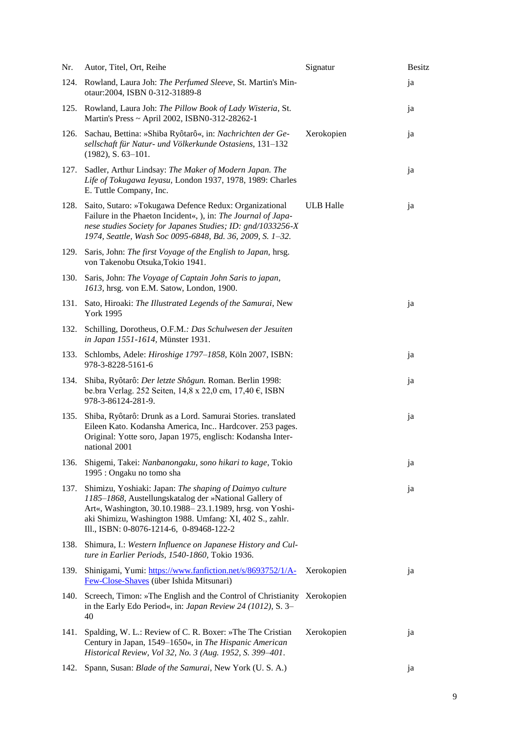| Nr.  | Autor, Titel, Ort, Reihe                                                                                                                                                                                                                                                              | Signatur         | <b>Besitz</b> |
|------|---------------------------------------------------------------------------------------------------------------------------------------------------------------------------------------------------------------------------------------------------------------------------------------|------------------|---------------|
| 124. | Rowland, Laura Joh: The Perfumed Sleeve, St. Martin's Min-<br>otaur:2004, ISBN 0-312-31889-8                                                                                                                                                                                          |                  | ja            |
|      | 125. Rowland, Laura Joh: The Pillow Book of Lady Wisteria, St.<br>Martin's Press ~ April 2002, ISBN0-312-28262-1                                                                                                                                                                      |                  | ja            |
| 126. | Sachau, Bettina: »Shiba Ryôtarô«, in: Nachrichten der Ge-<br>sellschaft für Natur- und Völkerkunde Ostasiens, 131-132<br>$(1982)$ , S. 63-101.                                                                                                                                        | Xerokopien       | ja            |
| 127. | Sadler, Arthur Lindsay: The Maker of Modern Japan. The<br>Life of Tokugawa Ieyasu, London 1937, 1978, 1989: Charles<br>E. Tuttle Company, Inc.                                                                                                                                        |                  | ja            |
| 128. | Saito, Sutaro: »Tokugawa Defence Redux: Organizational<br>Failure in the Phaeton Incident«, ), in: The Journal of Japa-<br>nese studies Society for Japanes Studies; ID: gnd/1033256-X<br>1974, Seattle, Wash Soc 0095-6848, Bd. 36, 2009, S. 1-32.                                   | <b>ULB</b> Halle | ja            |
| 129. | Saris, John: The first Voyage of the English to Japan, hrsg.<br>von Takenobu Otsuka, Tokio 1941.                                                                                                                                                                                      |                  |               |
| 130. | Saris, John: The Voyage of Captain John Saris to japan,<br>1613, hrsg. von E.M. Satow, London, 1900.                                                                                                                                                                                  |                  |               |
| 131. | Sato, Hiroaki: The Illustrated Legends of the Samurai, New<br><b>York 1995</b>                                                                                                                                                                                                        |                  | ja            |
| 132. | Schilling, Dorotheus, O.F.M.: Das Schulwesen der Jesuiten<br>in Japan 1551-1614, Münster 1931.                                                                                                                                                                                        |                  |               |
| 133. | Schlombs, Adele: <i>Hiroshige 1797-1858</i> , Köln 2007, ISBN:<br>978-3-8228-5161-6                                                                                                                                                                                                   |                  | ja            |
| 134. | Shiba, Ryôtarô: Der letzte Shôgun. Roman. Berlin 1998:<br>be.bra Verlag. 252 Seiten, 14,8 x 22,0 cm, 17,40 €, ISBN<br>978-3-86124-281-9.                                                                                                                                              |                  | ja            |
| 135. | Shiba, Ryôtarô: Drunk as a Lord. Samurai Stories. translated<br>Eileen Kato. Kodansha America, Inc Hardcover. 253 pages.<br>Original: Yotte soro, Japan 1975, englisch: Kodansha Inter-<br>national 2001                                                                              |                  | ja            |
| 136. | Shigemi, Takei: Nanbanongaku, sono hikari to kage, Tokio<br>1995 : Ongaku no tomo sha                                                                                                                                                                                                 |                  | ja            |
| 137. | Shimizu, Yoshiaki: Japan: The shaping of Daimyo culture<br>1185-1868, Austellungskatalog der »National Gallery of<br>Art«, Washington, 30.10.1988-23.1.1989, hrsg. von Yoshi-<br>aki Shimizu, Washington 1988. Umfang: XI, 402 S., zahlr.<br>Ill., ISBN: 0-8076-1214-6, 0-89468-122-2 |                  | ja            |
| 138. | Shimura, I.: Western Influence on Japanese History and Cul-<br>ture in Earlier Periods, 1540-1860, Tokio 1936.                                                                                                                                                                        |                  |               |
| 139. | Shinigami, Yumi: https://www.fanfiction.net/s/8693752/1/A-<br>Few-Close-Shaves (über Ishida Mitsunari)                                                                                                                                                                                | Xerokopien       | ja            |
| 140. | Screech, Timon: »The English and the Control of Christianity Xerokopien<br>in the Early Edo Period«, in: Japan Review 24 (1012), S. 3–<br>40                                                                                                                                          |                  |               |
| 141. | Spalding, W. L.: Review of C. R. Boxer: »The The Cristian<br>Century in Japan, 1549–1650«, in The Hispanic American<br>Historical Review, Vol 32, No. 3 (Aug. 1952, S. 399-401.                                                                                                       | Xerokopien       | ja            |
| 142. | Spann, Susan: Blade of the Samurai, New York (U. S. A.)                                                                                                                                                                                                                               |                  | ja            |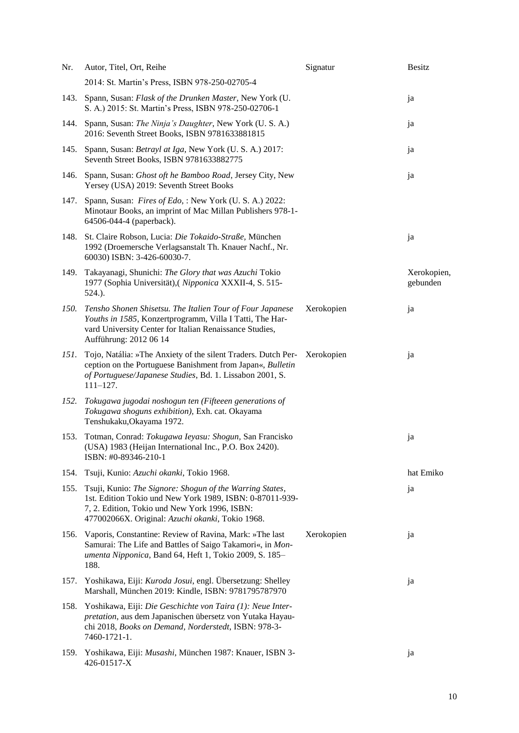| Nr.         | Autor, Titel, Ort, Reihe                                                                                                                                                                                                  | Signatur   | <b>Besitz</b>           |
|-------------|---------------------------------------------------------------------------------------------------------------------------------------------------------------------------------------------------------------------------|------------|-------------------------|
|             | 2014: St. Martin's Press, ISBN 978-250-02705-4                                                                                                                                                                            |            |                         |
| 143.        | Spann, Susan: Flask of the Drunken Master, New York (U.<br>S. A.) 2015: St. Martin's Press, ISBN 978-250-02706-1                                                                                                          |            | ja                      |
| 144.        | Spann, Susan: The Ninja's Daughter, New York (U. S. A.)<br>2016: Seventh Street Books, ISBN 9781633881815                                                                                                                 |            | ja                      |
| 145.        | Spann, Susan: Betrayl at Iga, New York (U. S. A.) 2017:<br>Seventh Street Books, ISBN 9781633882775                                                                                                                       |            | ja                      |
| 146.        | Spann, Susan: Ghost oft he Bamboo Road, Jersey City, New<br>Yersey (USA) 2019: Seventh Street Books                                                                                                                       |            | ja                      |
| 147.        | Spann, Susan: Fires of Edo, : New York (U. S. A.) 2022:<br>Minotaur Books, an imprint of Mac Millan Publishers 978-1-<br>64506-044-4 (paperback).                                                                         |            |                         |
| 148.        | St. Claire Robson, Lucia: Die Tokaido-Straße, München<br>1992 (Droemersche Verlagsanstalt Th. Knauer Nachf., Nr.<br>60030) ISBN: 3-426-60030-7.                                                                           |            | ja                      |
| 149.        | Takayanagi, Shunichi: The Glory that was Azuchi Tokio<br>1977 (Sophia Universität), (Nipponica XXXII-4, S. 515-<br>524.).                                                                                                 |            | Xerokopien,<br>gebunden |
| <i>150.</i> | Tensho Shonen Shisetsu. The Italien Tour of Four Japanese<br>Youths in 1585, Konzertprogramm, Villa I Tatti, The Har-<br>vard University Center for Italian Renaissance Studies,<br>Aufführung: 2012 06 14                | Xerokopien | ja                      |
| 151.        | Tojo, Natália: »The Anxiety of the silent Traders. Dutch Per- Xerokopien<br>ception on the Portuguese Banishment from Japan«, Bulletin<br>of Portuguese/Japanese Studies, Bd. 1. Lissabon 2001, S.<br>$111 - 127.$        |            | ja                      |
| 152.        | Tokugawa jugodai noshogun ten (Fifteeen generations of<br>Tokugawa shoguns exhibition), Exh. cat. Okayama<br>Tenshukaku, Okayama 1972.                                                                                    |            |                         |
| 153.        | Totman, Conrad: Tokugawa Ieyasu: Shogun, San Francisko<br>(USA) 1983 (Heijan International Inc., P.O. Box 2420).<br>ISBN: #0-89346-210-1                                                                                  |            | ja                      |
| 154.        | Tsuji, Kunio: Azuchi okanki, Tokio 1968.                                                                                                                                                                                  |            | hat Emiko               |
| 155.        | Tsuji, Kunio: The Signore: Shogun of the Warring States,<br>1st. Edition Tokio und New York 1989, ISBN: 0-87011-939-<br>7, 2. Edition, Tokio und New York 1996, ISBN:<br>477002066X. Original: Azuchi okanki, Tokio 1968. |            | ja                      |
| 156.        | Vaporis, Constantine: Review of Ravina, Mark: »The last<br>Samurai: The Life and Battles of Saigo Takamori«, in Mon-<br>umenta Nipponica, Band 64, Heft 1, Tokio 2009, S. 185-<br>188.                                    | Xerokopien | ja                      |
| 157.        | Yoshikawa, Eiji: Kuroda Josui, engl. Übersetzung: Shelley<br>Marshall, München 2019: Kindle, ISBN: 9781795787970                                                                                                          |            | ja                      |
| 158.        | Yoshikawa, Eiji: Die Geschichte von Taira (1): Neue Inter-<br>pretation, aus dem Japanischen übersetz von Yutaka Hayau-<br>chi 2018, Books on Demand, Norderstedt, ISBN: 978-3-<br>7460-1721-1.                           |            |                         |
| 159.        | Yoshikawa, Eiji: Musashi, München 1987: Knauer, ISBN 3-<br>426-01517-X                                                                                                                                                    |            | ja                      |